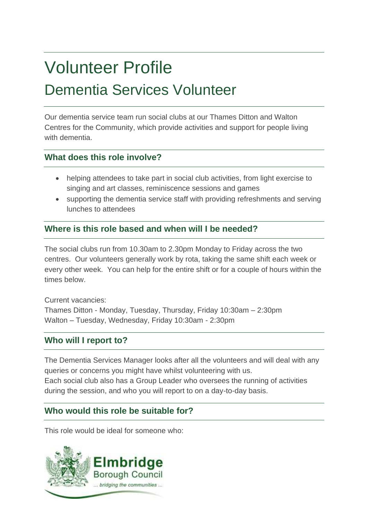# Volunteer Profile Dementia Services Volunteer

Our dementia service team run social clubs at our Thames Ditton and Walton Centres for the Community, which provide activities and support for people living with dementia.

# **What does this role involve?**

- helping attendees to take part in social club activities, from light exercise to singing and art classes, reminiscence sessions and games
- supporting the dementia service staff with providing refreshments and serving lunches to attendees

# **Where is this role based and when will I be needed?**

The social clubs run from 10.30am to 2.30pm Monday to Friday across the two centres. Our volunteers generally work by rota, taking the same shift each week or every other week. You can help for the entire shift or for a couple of hours within the times below.

Current vacancies: Thames Ditton - Monday, Tuesday, Thursday, Friday 10:30am – 2:30pm Walton – Tuesday, Wednesday, Friday 10:30am - 2:30pm

## **Who will I report to?**

The Dementia Services Manager looks after all the volunteers and will deal with any queries or concerns you might have whilst volunteering with us. Each social club also has a Group Leader who oversees the running of activities during the session, and who you will report to on a day-to-day basis.

## **Who would this role be suitable for?**

This role would be ideal for someone who: